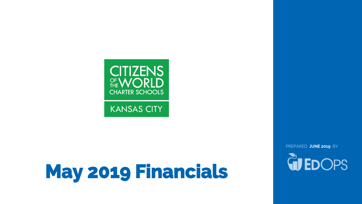

**KANSAS CITY** 

# **May 2019 Financials**

PREPARED **JUNE 2019** BY

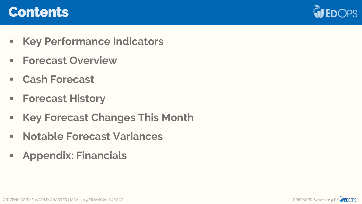### **Contents**



- **Key Performance Indicators**
- **Forecast Overview**
- **Cash Forecast**
- **Forecast History**
- **Key Forecast Changes This Month**
- **Notable Forecast Variances**
- **Appendix: Financials**



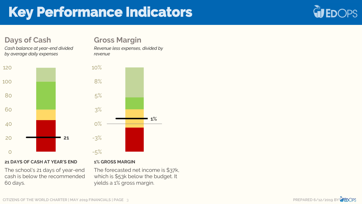# **Key Performance Indicators**

### **Days of Cash**

*Cash balance at year-end divided by average daily expenses*



#### **21 DAYS OF CASH AT YEAR'S END**

The school's 21 days of year-end cash is below the recommended 60 days.

### **Gross Margin**

*Revenue less expenses, divided by revenue*



#### **1% GROSS MARGIN**

The forecasted net income is \$37k, which is \$53k below the budget. It yields a 1% gross margin.



**WEDOPS**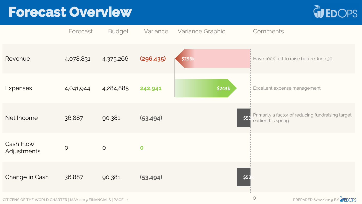## **Forecast Overview**



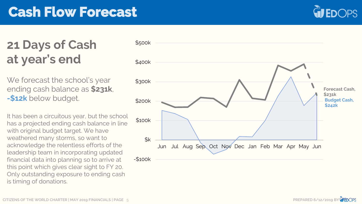## **Cash Flow Forecast**



### **21 Days of Cash at year's end**

We forecast the school's year ending cash balance as **\$231k**, **-\$12k** below budget.

It has been a circuitous year, but the school has a projected ending cash balance in line with original budget target. We have weathered many storms, so want to acknowledge the relentless efforts of the leadership team in incorporating updated financial data into planning so to arrive at this point which gives clear sight to FY 20. Only outstanding exposure to ending cash is timing of donations.



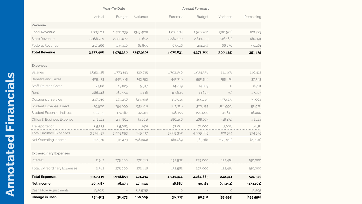|                                     |           | Year-To-Date  |            |           | <b>Annual Forecast</b> |            |            |
|-------------------------------------|-----------|---------------|------------|-----------|------------------------|------------|------------|
|                                     | Actual    | <b>Budget</b> | Variance   | Forecast  | <b>Budget</b>          | Variance   | Remaining  |
| Revenue                             |           |               |            |           |                        |            |            |
| Local Revenue                       | 1,083,411 | 1,426,839     | (343, 428) | 1,204,184 | 1,520,706              | (316, 522) | 120,773    |
| <b>State Revenue</b>                | 2,386,729 | 2,353,077     | 33,652     | 2,567,120 | 2,613,303              | (46, 183)  | 180,391    |
| <b>Federal Revenue</b>              | 257,266   | 195,410       | 61,855     | 307,526   | 241,257                | 66,270     | 50,261     |
| <b>Total Revenue</b>                | 3,727,406 | 3,975,326     | (247, 920) | 4,078,831 | 4,375,266              | (296, 435) | 351,425    |
| <b>Expenses</b>                     |           |               |            |           |                        |            |            |
| <b>Salaries</b>                     | 1,652,428 | 1,773,143     | 120,715    | 1,792,840 | 1,934,338              | 141,498    | 140,412    |
| <b>Benefits and Taxes</b>           | 405,473   | 548,665       | 143,193    | 442,716   | 598,544                | 155,828    | 37,243     |
| <b>Staff-Related Costs</b>          | 7,508     | 13,025        | 5,517      | 14,209    | 14,209                 | $\circ$    | 6,701      |
| Rent                                | 286,418   | 287,554       | 1,136      | 313,695   | 313,695                | (O)        | 27,277     |
| <b>Occupancy Service</b>            | 297,610   | 274,256       | (23,354)   | 336,614   | 299,189                | (37, 425)  | 39,004     |
| Student Expense, Direct             | 429,900   | 294,099       | (135, 801) | 482,826   | 320,835                | (161,990)  | 52,926     |
| Student Expense, Indirect           | 132,155   | 174,167       | 42,011     | 148,155   | 190,000                | 41,845     | 16,000     |
| Office & Business Expense           | 238,122   | 233,861       | (4,261)    | 286,246   | 268,075                | (18,171)   | 48,124     |
| Transportation                      | 65,223    | 65,083        | (140)      | 72,061    | 71,000                 | (1.061)    | 6,838      |
| <b>Total Ordinary Expenses</b>      | 3,514,837 | 3,663,853     | 149,017    | 3,889,362 | 4,009,885              | 120,524    | 374,525    |
| Net Operating Income                | 212,570   | 311,473       | (98,904)   | 189,469   | 365,381                | (175, 912) | (23,101)   |
| <b>Extraordinary Expenses</b>       |           |               |            |           |                        |            |            |
| Interest                            | 2,582     | 275,000       | 272,418    | 152,582   | 275,000                | 122,418    | 150,000    |
| <b>Total Extraordinary Expenses</b> | 2,582     | 275,000       | 272,418    | 152,582   | 275,000                | 122,418    | 150,000    |
| <b>Total Expenses</b>               | 3,517,419 | 3,938,853     | 421,434    | 4,041,944 | 4,284,885              | 242,941    | 524,525    |
| Net Income                          | 209,987   | 36,473        | 173,514    | 36,887    | 90,381                 | (53, 494)  | (173, 101) |
| Cash Flow Adjustments               | (13,505)  |               | (13,505)   | $\circ$   |                        | $\circ$    | 13,505     |
| <b>Change in Cash</b>               | 196,483   | 36,473        | 160,009    | 36,887    | 90,381                 | (53, 494)  | (159, 596) |